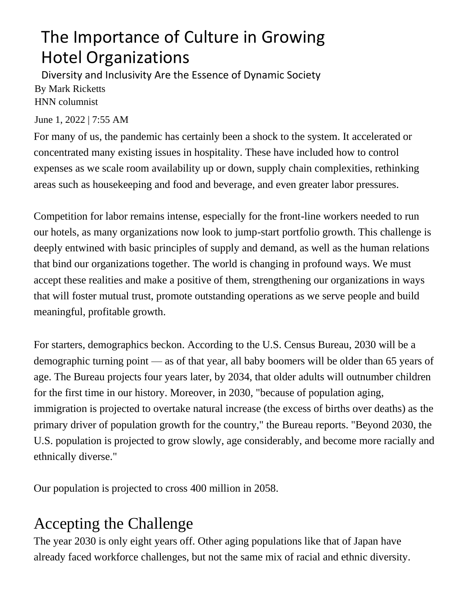## The Importance of Culture in Growing Hotel Organizations

Diversity and Inclusivity Are the Essence of Dynamic Society By Mark Ricketts HNN columnist

June 1, 2022 | 7:55 AM

For many of us, the pandemic has certainly been a shock to the system. It accelerated or concentrated many existing issues in hospitality. These have included how to control expenses as we scale room availability up or down, supply chain complexities, rethinking areas such as housekeeping and food and beverage, and even greater labor pressures.

Competition for labor remains intense, especially for the front-line workers needed to run our hotels, as many organizations now look to jump-start portfolio growth. This challenge is deeply entwined with basic principles of supply and demand, as well as the human relations that bind our organizations together. The world is changing in profound ways. We must accept these realities and make a positive of them, strengthening our organizations in ways that will foster mutual trust, promote outstanding operations as we serve people and build meaningful, profitable growth.

For starters, demographics beckon. According to the U.S. Census Bureau, 2030 will be a demographic turning point — as of that year, all baby boomers will be older than 65 years of age. The Bureau projects four years later, by 2034, that older adults will outnumber children for the first time in our history. Moreover, in 2030, "because of population aging, immigration is projected to overtake natural increase (the excess of births over deaths) as the primary driver of population growth for the country," the Bureau reports. "Beyond 2030, the U.S. population is projected to grow slowly, age considerably, and become more racially and ethnically diverse."

Our population is projected to cross 400 million in 2058.

## Accepting the Challenge

The year 2030 is only eight years off. Other aging populations like that of Japan have already faced workforce challenges, but not the same mix of racial and ethnic diversity.